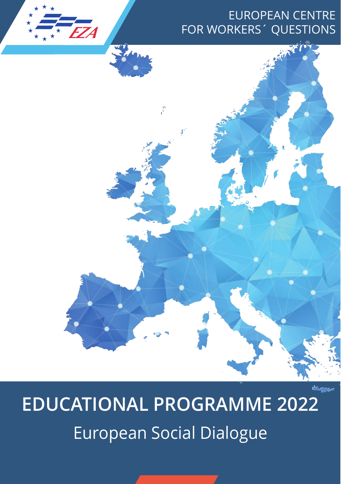# EUROPEAN CENTRE FOR WORKERS´ QUESTIONS



₹,

*EZA* 

★ ★ ★ ★ ★ ★ ★ ★ ★ ★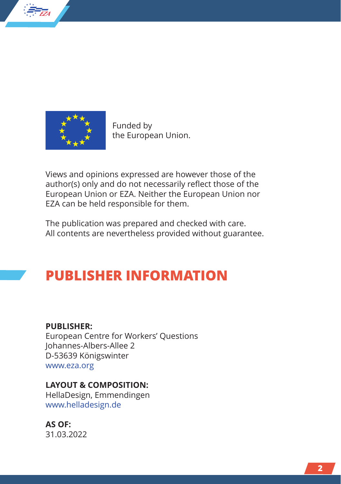

*EZA*

★ ★ ★ ★ ★ ★★ ★ ★ ★

> Funded by the European Union.

Views and opinions expressed are however those of the author(s) only and do not necessarily reflect those of the European Union or EZA. Neither the European Union nor EZA can be held responsible for them.

The publication was prepared and checked with care. All contents are nevertheless provided without guarantee.

# **PUBLISHER INFORMATION**

#### **PUBLISHER:**

European Centre for Workers' Questions Johannes-Albers-Allee 2 D-53639 Königswinter www.eza.org

#### **LAYOUT & COMPOSITION:**

HellaDesign, Emmendingen www.helladesign.de

**AS OF:**  31.03.2022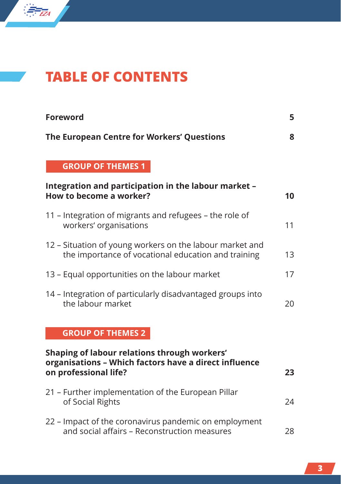

# **TABLE OF CONTENTS**

| <b>Foreword</b>                                                                                                                      | 5  |  |
|--------------------------------------------------------------------------------------------------------------------------------------|----|--|
| The European Centre for Workers' Questions                                                                                           | 8  |  |
| <b>GROUP OF THEMES 1</b>                                                                                                             |    |  |
| Integration and participation in the labour market -<br>How to become a worker?                                                      | 10 |  |
| 11 - Integration of migrants and refugees - the role of<br>workers' organisations                                                    | 11 |  |
| 12 – Situation of young workers on the labour market and<br>the importance of vocational education and training                      | 13 |  |
| 13 – Equal opportunities on the labour market                                                                                        |    |  |
| 14 – Integration of particularly disadvantaged groups into<br>the labour market                                                      |    |  |
| <b>GROUP OF THEMES 2</b>                                                                                                             |    |  |
| Shaping of labour relations through workers'<br>organisations - Which factors have a direct influence<br>on professional life?<br>23 |    |  |
| 21 - Further implementation of the European Pillar<br>of Social Rights                                                               | 24 |  |

22 – Impact of the coronavirus pandemic on employment and social affairs – Reconstruction measures 28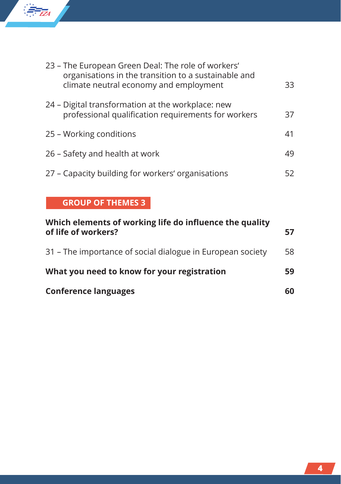

| 23 - The European Green Deal: The role of workers'<br>organisations in the transition to a sustainable and<br>climate neutral economy and employment | 33  |
|------------------------------------------------------------------------------------------------------------------------------------------------------|-----|
| 24 – Digital transformation at the workplace: new<br>professional qualification requirements for workers                                             | 37  |
| 25 - Working conditions                                                                                                                              |     |
| 26 – Safety and health at work                                                                                                                       |     |
| 27 - Capacity building for workers' organisations                                                                                                    | 52. |

## **GROUP OF THEMES 3**

| Which elements of working life do influence the quality<br>of life of workers? |    |  |
|--------------------------------------------------------------------------------|----|--|
| 31 – The importance of social dialogue in European society                     | 58 |  |
| What you need to know for your registration                                    |    |  |
| <b>Conference languages</b>                                                    | 60 |  |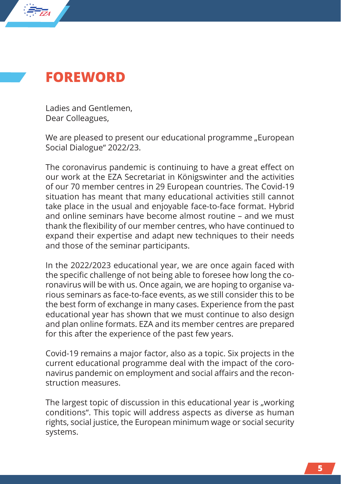

*EZA*

★ ★ ★ ★ ★ ★★ ★ ★ ★

> Ladies and Gentlemen, Dear Colleagues,

We are pleased to present our educational programme "European Social Dialogue" 2022/23.

The coronavirus pandemic is continuing to have a great effect on our work at the EZA Secretariat in Königswinter and the activities of our 70 member centres in 29 European countries. The Covid-19 situation has meant that many educational activities still cannot take place in the usual and enjoyable face-to-face format. Hybrid and online seminars have become almost routine – and we must thank the flexibility of our member centres, who have continued to expand their expertise and adapt new techniques to their needs and those of the seminar participants.

In the 2022/2023 educational year, we are once again faced with the specific challenge of not being able to foresee how long the coronavirus will be with us. Once again, we are hoping to organise various seminars as face-to-face events, as we still consider this to be the best form of exchange in many cases. Experience from the past educational year has shown that we must continue to also design and plan online formats. EZA and its member centres are prepared for this after the experience of the past few years.

Covid-19 remains a major factor, also as a topic. Six projects in the current educational programme deal with the impact of the coronavirus pandemic on employment and social affairs and the reconstruction measures.

The largest topic of discussion in this educational year is "working conditions". This topic will address aspects as diverse as human rights, social justice, the European minimum wage or social security systems.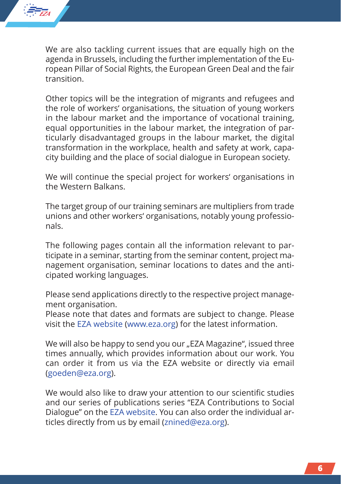

We are also tackling current issues that are equally high on the agenda in Brussels, including the further implementation of the European Pillar of Social Rights, the European Green Deal and the fair transition.

Other topics will be the integration of migrants and refugees and the role of workers' organisations, the situation of young workers in the labour market and the importance of vocational training, equal opportunities in the labour market, the integration of particularly disadvantaged groups in the labour market, the digital transformation in the workplace, health and safety at work, capacity building and the place of social dialogue in European society.

We will continue the special project for workers' organisations in the Western Balkans.

The target group of our training seminars are multipliers from trade unions and other workers' organisations, notably young professionals.

The following pages contain all the information relevant to participate in a seminar, starting from the seminar content, project management organisation, seminar locations to dates and the anticipated working languages.

Please send applications directly to the respective project management organisation.

Please note that dates and formats are subject to change. Please visit the [EZA website](www.eza.org) (www.eza.org) for the latest information.

We will also be happy to send you our "EZA Magazine", issued three times annually, which provides information about our work. You can order it from us via the EZA website or directly via email (goeden@eza.org).

We would also like to draw your attention to our scientific studies and our series of publications series "EZA Contributions to Social Dialogue" on the [EZA website.](www.eza.org) You can also order the individual articles directly from us by email (znined@eza.org).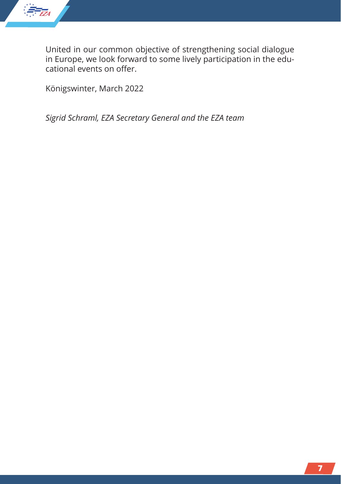

United in our common objective of strengthening social dialogue in Europe, we look forward to some lively participation in the educational events on offer.

Königswinter, March 2022

*Sigrid Schraml, EZA Secretary General and the EZA team*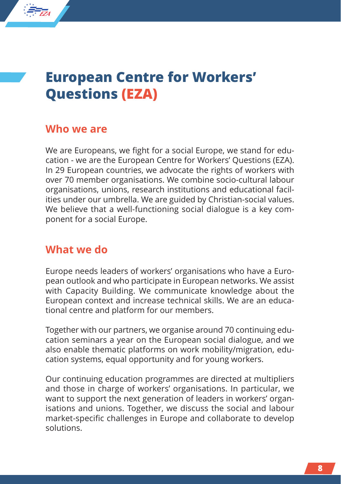# **European Centre for Workers' Questions (EZA)**

## **Who we are**

*EZA*

★ ★ ★ ★ ★ ★★ ★ ★ ★

> We are Europeans, we fight for a social Europe, we stand for education - we are the European Centre for Workers' Questions (EZA). In 29 European countries, we advocate the rights of workers with over 70 member organisations. We combine socio-cultural labour organisations, unions, research institutions and educational facilities under our umbrella. We are guided by Christian-social values. We believe that a well-functioning social dialogue is a key component for a social Europe.

## **What we do**

Europe needs leaders of workers' organisations who have a European outlook and who participate in European networks. We assist with Capacity Building. We communicate knowledge about the European context and increase technical skills. We are an educational centre and platform for our members.

Together with our partners, we organise around 70 continuing education seminars a year on the European social dialogue, and we also enable thematic platforms on work mobility/migration, education systems, equal opportunity and for young workers.

Our continuing education programmes are directed at multipliers and those in charge of workers' organisations. In particular, we want to support the next generation of leaders in workers' organisations and unions. Together, we discuss the social and labour market-specific challenges in Europe and collaborate to develop solutions.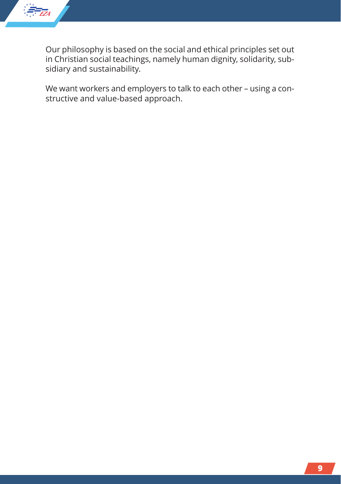

Our philosophy is based on the social and ethical principles set out in Christian social teachings, namely human dignity, solidarity, subsidiary and sustainability.

We want workers and employers to talk to each other – using a constructive and value-based approach.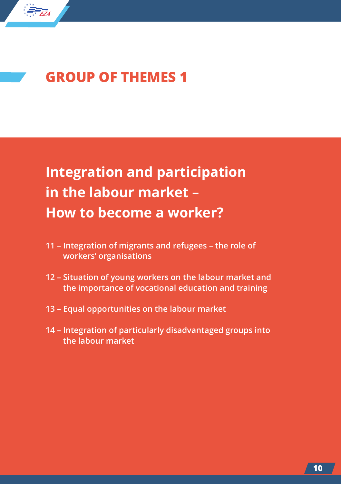

# **GROUP OF THEMES 1**

# **Integration and participation in the labour market – How to become a worker?**

- **11 Integration of migrants and refugees the role of workers' organisations**
- **12 Situation of young workers on the labour market and the importance of vocational education and training**
- **13 Equal opportunities on the labour market**
- **14 Integration of particularly disadvantaged groups into the labour market**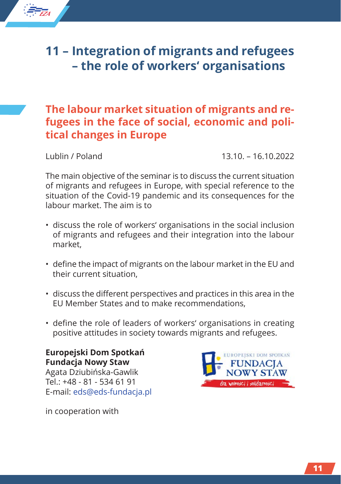# **11 – Integration of migrants and refugees – the role of workers' organisations**

# **The labour market situation of migrants and refugees in the face of social, economic and political changes in Europe**

*EZA*

★ ★ ★ ★ ★ ★★ ★ ★ ★

Lublin / Poland 13.10. – 16.10.2022

The main objective of the seminar is to discuss the current situation of migrants and refugees in Europe, with special reference to the situation of the Covid-19 pandemic and its consequences for the labour market. The aim is to

- discuss the role of workers' organisations in the social inclusion of migrants and refugees and their integration into the labour market,
- define the impact of migrants on the labour market in the EU and their current situation,
- discuss the different perspectives and practices in this area in the EU Member States and to make recommendations,
- define the role of leaders of workers' organisations in creating positive attitudes in society towards migrants and refugees.

**Europejski Dom Spotkań Fundacja Nowy Staw** Agata Dziubińska-Gawlik Tel.: +48 - 81 - 534 61 91 E-mail: eds@eds-fundacja.pl



in cooperation with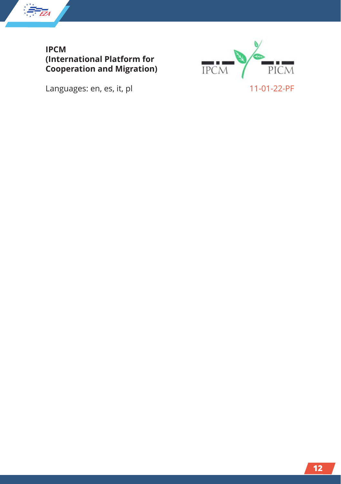

**IPCM (International Platform for Cooperation and Migration)**

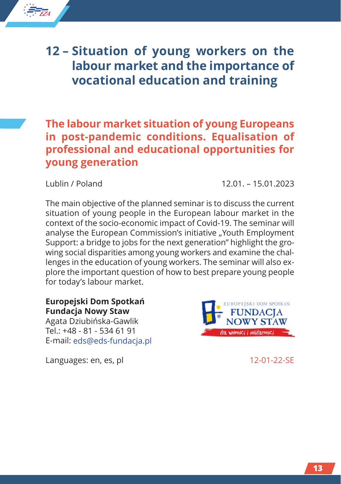# **12 – Situation of young workers on the labour market and the importance of vocational education and training**

# **The labour market situation of young Europeans in post-pandemic conditions. Equalisation of professional and educational opportunities for young generation**

*EZA*

★ ★ ★ ★ ★ ★★ ★ ★ ★

Lublin / Poland 12.01. – 15.01.2023

The main objective of the planned seminar is to discuss the current situation of young people in the European labour market in the context of the socio-economic impact of Covid-19. The seminar will analyse the European Commission's initiative "Youth Employment Support: a bridge to jobs for the next generation" highlight the growing social disparities among young workers and examine the challenges in the education of young workers. The seminar will also explore the important question of how to best prepare young people for today's labour market.

#### **Europejski Dom Spotkań Fundacja Nowy Staw**

Agata Dziubińska-Gawlik Tel.: +48 - 81 - 534 61 91 E-mail: eds@eds-fundacja.pl

Languages: en, es, pl 12-01-22-SE

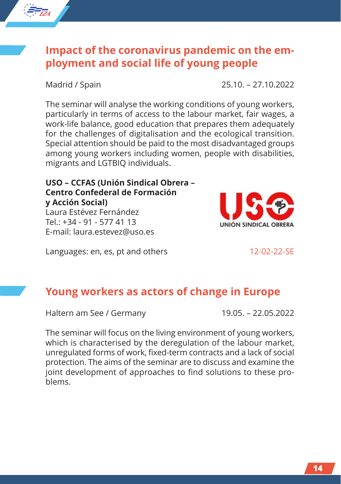# **Impact of the coronavirus pandemic on the employment and social life of young people**

The seminar will analyse the working conditions of young workers, particularly in terms of access to the labour market, fair wages, a work-life balance, good education that prepares them adequately for the challenges of digitalisation and the ecological transition. Special attention should be paid to the most disadvantaged groups among young workers including women, people with disabilities, migrants and LGTBIQ individuals.

#### **USO – CCFAS (Unión Sindical Obrera – Centro Confederal de Formación y Acción Social)** Laura Estévez Fernández

Tel.: +34 - 91 - 577 41 13 E-mail: laura.estevez@uso.es

Languages: en, es, pt and others 12-02-22-SE

# **Young workers as actors of change in Europe**

Haltern am See / Germany 19.05. – 22.05.2022

The seminar will focus on the living environment of young workers, which is characterised by the deregulation of the labour market, unregulated forms of work, fixed-term contracts and a lack of social protection. The aims of the seminar are to discuss and examine the joint development of approaches to find solutions to these problems.

IÓN SINDICAL ORRERA

Madrid / Spain 25.10. – 27.10.2022

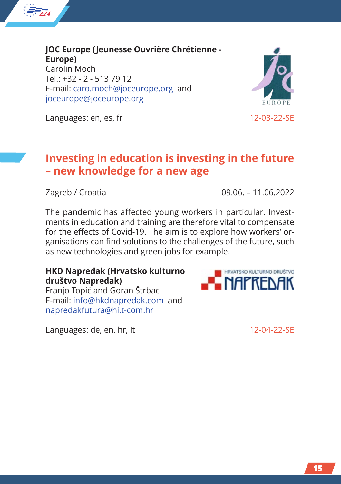

**JOC Europe (Jeunesse Ouvrière Chrétienne - Europe)** Carolin Moch  $Tel: +32 - 2 - 5137912$ E-mail: caro.moch@joceurope.org and joceurope@joceurope.org



Languages: en, es, fr 12-03-22-SE

## **Investing in education is investing in the future – new knowledge for a new age**

Zagreb / Croatia 09.06. – 11.06.2022

The pandemic has affected young workers in particular. Investments in education and training are therefore vital to compensate for the effects of Covid-19. The aim is to explore how workers' organisations can find solutions to the challenges of the future, such as new technologies and green jobs for example.

#### **HKD Napredak (Hrvatsko kulturno društvo Napredak)**

Franjo Topić and Goran Štrbac E-mail: info@hkdnapredak.com and napredakfutura@hi.t-com.hr

Languages: de, en, hr, it 12-04-22-SE

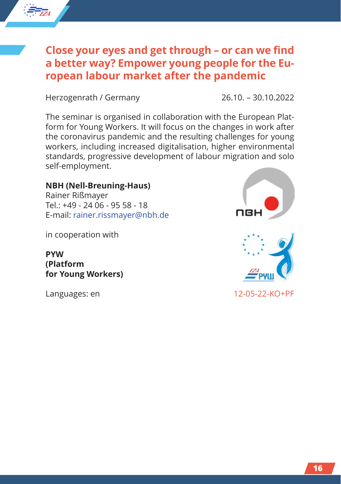

# **Close your eyes and get through – or can we find a better way? Empower young people for the European labour market after the pandemic**

Herzogenrath / Germany 26.10. – 30.10.2022

The seminar is organised in collaboration with the European Platform for Young Workers. It will focus on the changes in work after the coronavirus pandemic and the resulting challenges for young workers, including increased digitalisation, higher environmental standards, progressive development of labour migration and solo self-employment.

#### **NBH (Nell-Breuning-Haus)**

Rainer Rißmayer Tel.: +49 - 24 06 - 95 58 - 18 E-mail: rainer.rissmayer@nbh.de

in cooperation with

**PYW (Platform for Young Workers)**



Languages: en 12-05-22-KO+PF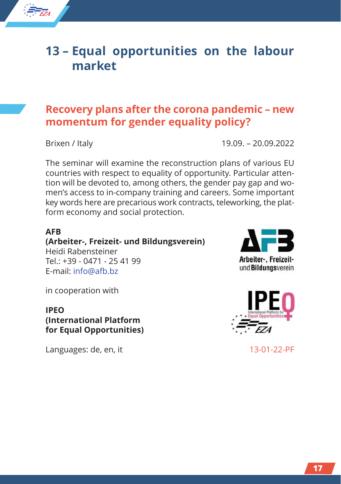# **13 – Equal opportunities on the labour market**

# **Recovery plans after the corona pandemic – new momentum for gender equality policy?**

*EZA*

★ ★ ★ ★ ★ ★★ ★ ★ ★

Brixen / Italy 19.09. – 20.09.2022

The seminar will examine the reconstruction plans of various EU countries with respect to equality of opportunity. Particular attention will be devoted to, among others, the gender pay gap and women's access to in-company training and careers. Some important key words here are precarious work contracts, teleworking, the platform economy and social protection.

#### **AFB**

**(Arbeiter-, Freizeit- und Bildungsverein)** Heidi Rabensteiner  $Tel: +39 - 0471 - 254199$ 

E-mail: info@afb.bz

in cooperation with

#### **IPEO (International Platform for Equal Opportunities)**

Languages: de, en, it 13-01-22-PF



Arbeiter-, Freizeitund Bildungsverein

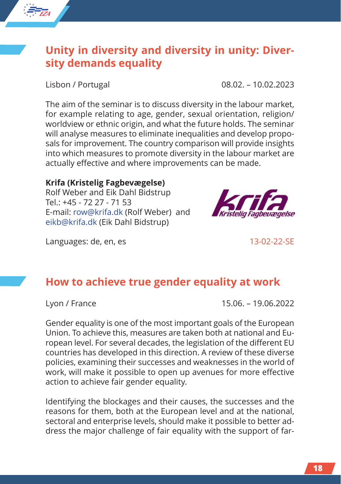

# **Unity in diversity and diversity in unity: Diversity demands equality**

Lisbon / Portugal 08.02. – 10.02.2023

The aim of the seminar is to discuss diversity in the labour market, for example relating to age, gender, sexual orientation, religion/ worldview or ethnic origin, and what the future holds. The seminar will analyse measures to eliminate inequalities and develop proposals for improvement. The country comparison will provide insights into which measures to promote diversity in the labour market are actually effective and where improvements can be made.

#### **Krifa (Kristelig Fagbevægelse)**

Rolf Weber and Eik Dahl Bidstrup Tel.: +45 - 72 27 - 71 53 E-mail: row@krifa.dk (Rolf Weber) and eikb@krifa.dk (Eik Dahl Bidstrup)

Languages: de, en, es 13-02-22-SE

# **How to achieve true gender equality at work**

Lyon / France 15.06. – 19.06.2022

Gender equality is one of the most important goals of the European Union. To achieve this, measures are taken both at national and European level. For several decades, the legislation of the different EU countries has developed in this direction. A review of these diverse policies, examining their successes and weaknesses in the world of work, will make it possible to open up avenues for more effective action to achieve fair gender equality.

Identifying the blockages and their causes, the successes and the reasons for them, both at the European level and at the national, sectoral and enterprise levels, should make it possible to better address the major challenge of fair equality with the support of far-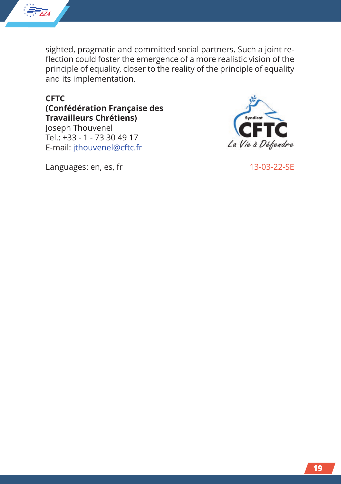

sighted, pragmatic and committed social partners. Such a joint reflection could foster the emergence of a more realistic vision of the principle of equality, closer to the reality of the principle of equality and its implementation.

#### **CFTC (Confédération Française des Travailleurs Chrétiens)**

Joseph Thouvenel Tel.: +33 - 1 - 73 30 49 17 E-mail: jthouvenel@cftc.fr



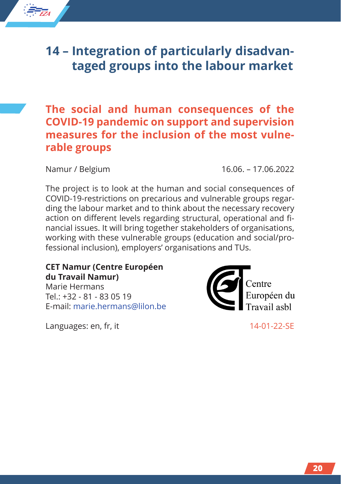# **14 – Integration of particularly disadvantaged groups into the labour market**

## **The social and human consequences of the COVID-19 pandemic on support and supervision measures for the inclusion of the most vulnerable groups**

*EZA*

★ ★ ★ ★ ★ ★★ ★ ★ ★

Namur / Belgium 16.06. – 17.06.2022

The project is to look at the human and social consequences of COVID-19-restrictions on precarious and vulnerable groups regarding the labour market and to think about the necessary recovery action on different levels regarding structural, operational and financial issues. It will bring together stakeholders of organisations, working with these vulnerable groups (education and social/professional inclusion), employers' organisations and TUs.

**CET Namur (Centre Européen du Travail Namur)**

Marie Hermans  $Tel: +32 - 81 - 830519$ E-mail: marie.hermans@lilon.be

Languages: en, fr, it 14-01-22-SE

entre Européen du ravail ashl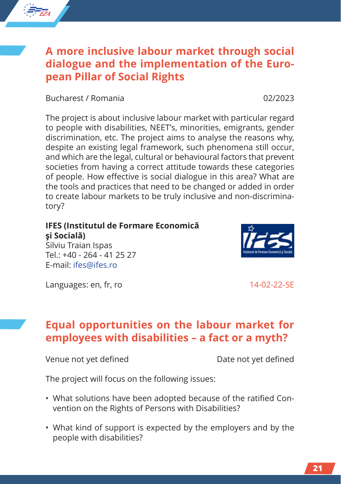# **A more inclusive labour market through social dialogue and the implementation of the European Pillar of Social Rights**

Bucharest / Romania 02/2023

The project is about inclusive labour market with particular regard to people with disabilities, NEET's, minorities, emigrants, gender discrimination, etc. The project aims to analyse the reasons why, despite an existing legal framework, such phenomena still occur, and which are the legal, cultural or behavioural factors that prevent societies from having a correct attitude towards these categories of people. How effective is social dialogue in this area? What are the tools and practices that need to be changed or added in order to create labour markets to be truly inclusive and non-discriminatory?

### **IFES (Institutul de Formare Economică şi Socială)**

Silviu Traian Ispas  $Tel: +40 - 264 - 41 25 27$ E-mail: ifes@ifes.ro

Languages: en, fr, ro 14-02-22-SE

**Equal opportunities on the labour market for employees with disabilities – a fact or a myth?**

Venue not yet defined Date not yet defined

The project will focus on the following issues:

- What solutions have been adopted because of the ratified Convention on the Rights of Persons with Disabilities?
- What kind of support is expected by the employers and by the people with disabilities?



*EZA* ★ ★ ★ ★ ★ ★★ ★ ★ ★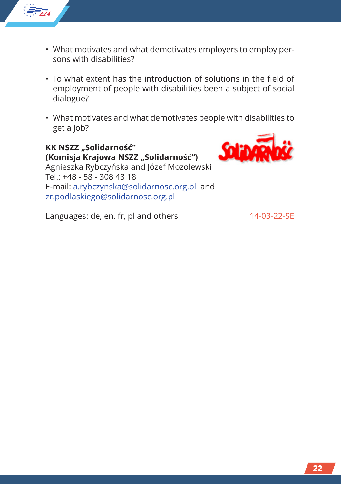

- What motivates and what demotivates employers to employ persons with disabilities?
- To what extent has the introduction of solutions in the field of employment of people with disabilities been a subject of social dialogue?
- What motivates and what demotivates people with disabilities to get a job?

**KK NSZZ "Solidarność" (Komisja Krajowa NSZZ "Solidarność")** Agnieszka Rybczyńska and Józef Mozolewski Tel.: +48 - 58 - 308 43 18 E-mail: a.rybczynska@solidarnosc.org.pl and zr.podlaskiego@solidarnosc.org.pl



Languages: de, en, fr, pl and others 14-03-22-SE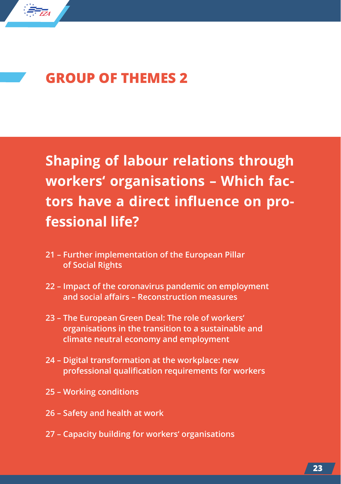

# **GROUP OF THEMES 2**

**Shaping of labour relations through workers' organisations – Which factors have a direct influence on professional life?**

- **21 Further implementation of the European Pillar of Social Rights**
- **22 Impact of the coronavirus pandemic on employment and social affairs – Reconstruction measures**
- **23 The European Green Deal: The role of workers' organisations in the transition to a sustainable and climate neutral economy and employment**
- **24 Digital transformation at the workplace: new professional qualification requirements for workers**
- **25 Working conditions**
- **26 Safety and health at work**
- **27 Capacity building for workers' organisations**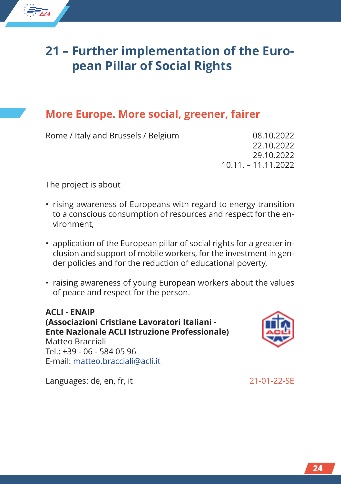# **21 – Further implementation of the European Pillar of Social Rights**

# **More Europe. More social, greener, fairer**

Rome / Italy and Brussels / Belgium 08.10.2022

22.10.2022 29.10.2022 10.11. – 11.11.2022

The project is about

*EZA*

★ ★ ★ ★ ★ ★★ ★ ★ ★

- rising awareness of Europeans with regard to energy transition to a conscious consumption of resources and respect for the environment,
- application of the European pillar of social rights for a greater inclusion and support of mobile workers, for the investment in gender policies and for the reduction of educational poverty,
- raising awareness of young European workers about the values of peace and respect for the person.

**ACLI - ENAIP (Associazioni Cristiane Lavoratori Italiani - Ente Nazionale ACLI Istruzione Professionale)** Matteo Bracciali  $Tel: +39 - 06 - 584 05 96$ E-mail: matteo.bracciali@acli.it



Languages: de, en, fr, it 21-01-22-SE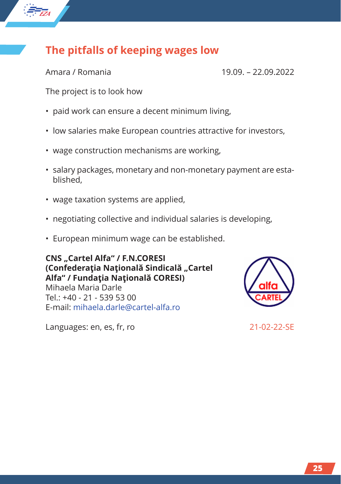# **The pitfalls of keeping wages low**

*EZA*

★ ★ ★ ★ ★ ★★ ★ ★ ★

Amara / Romania 19.09. – 22.09.2022

The project is to look how

- paid work can ensure a decent minimum living,
- low salaries make European countries attractive for investors,
- wage construction mechanisms are working,
- salary packages, monetary and non-monetary payment are established,
- wage taxation systems are applied,
- negotiating collective and individual salaries is developing,
- European minimum wage can be established.

**CNS "Cartel Alfa" / F.N.CORESI (Confederaţia Naţională Sindicală "Cartel Alfa" / Fundaţia Naţională CORESI)** Mihaela Maria Darle  $Tel: +40 - 21 - 539 - 5300$ 

E-mail: mihaela.darle@cartel-alfa.ro

Languages: en, es, fr, ro 21-02-22-SE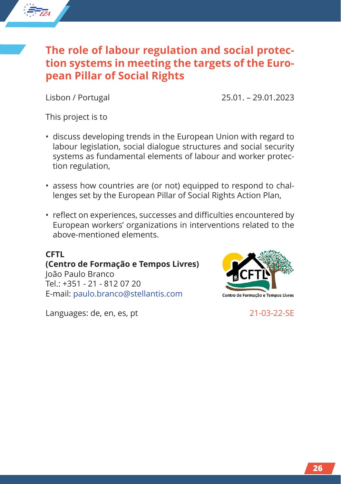# **The role of labour regulation and social protection systems in meeting the targets of the European Pillar of Social Rights**

*EZA*

★ ★ ★ ★ ★ ★★ ★ ★ ★

Lisbon / Portugal 25.01. – 29.01.2023

This project is to

- discuss developing trends in the European Union with regard to labour legislation, social dialogue structures and social security systems as fundamental elements of labour and worker protection regulation,
- assess how countries are (or not) equipped to respond to challenges set by the European Pillar of Social Rights Action Plan,
- reflect on experiences, successes and difficulties encountered by European workers' organizations in interventions related to the above-mentioned elements.

#### **CFTL**

**(Centro de Formação e Tempos Livres)** João Paulo Branco  $Tel: +351 - 21 - 812 07 20$ E-mail: paulo.branco@stellantis.com

Languages: de, en, es, pt 21-03-22-SE

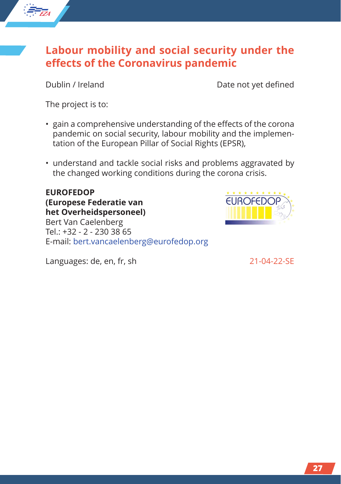

*EZA*

★ ★ ★ ★ ★ ★★ ★ ★ ★

Dublin / Ireland Dublin / Ireland

The project is to:

- gain a comprehensive understanding of the effects of the corona pandemic on social security, labour mobility and the implementation of the European Pillar of Social Rights (EPSR),
- understand and tackle social risks and problems aggravated by the changed working conditions during the corona crisis.

**EUROFEDOP (Europese Federatie van het Overheidspersoneel)**

Bert Van Caelenberg Tel.: +32 - 2 - 230 38 65 E-mail: bert.vancaelenberg@eurofedop.org



ELIROFEDO

Languages: de, en, fr, sh 21-04-22-SE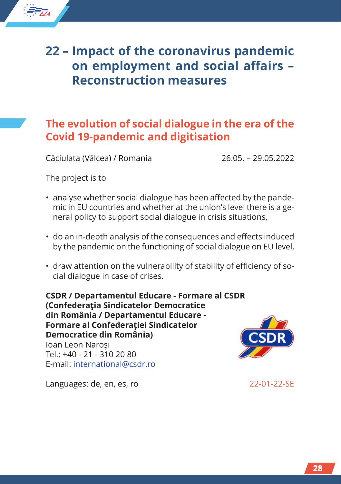

## **The evolution of social dialogue in the era of the Covid 19-pandemic and digitisation**

Căciulata (Vâlcea) / Romania 26.05. – 29.05.2022

The project is to

*EZA*

★ ★ ★ ★ ★ ★★ ★ ★ ★

- analyse whether social dialogue has been affected by the pandemic in EU countries and whether at the union's level there is a general policy to support social dialogue in crisis situations,
- do an in-depth analysis of the consequences and effects induced by the pandemic on the functioning of social dialogue on EU level,
- draw attention on the vulnerability of stability of efficiency of social dialogue in case of crises.

**CSDR / Departamentul Educare - Formare al CSDR (Confederaţia Sindicatelor Democratice din România / Departamentul Educare - Formare al Confederaţiei Sindicatelor Democratice din România)** Ioan Leon Naroşi Tel.: +40 - 21 - 310 20 80 E-mail: international@csdr.ro



Languages: de, en, es, ro 22-01-22-SE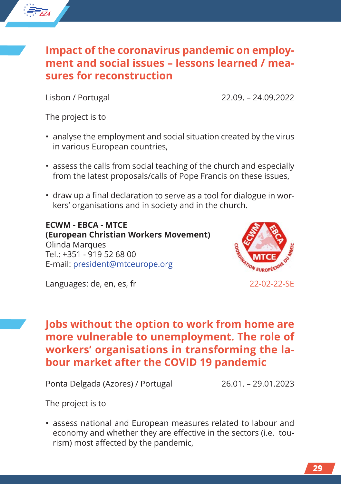## **Impact of the coronavirus pandemic on employment and social issues – lessons learned / measures for reconstruction**

*EZA*

★ ★ ★ ★ ★ ★★ ★ ★ ★

Lisbon / Portugal 22.09. – 24.09.2022

The project is to

- analyse the employment and social situation created by the virus in various European countries,
- assess the calls from social teaching of the church and especially from the latest proposals/calls of Pope Francis on these issues,
- draw up a final declaration to serve as a tool for dialogue in workers' organisations and in society and in the church.

**ECWM - EBCA - MTCE (European Christian Workers Movement)** Olinda Marques Tel.: +351 - 919 52 68 00 E-mail: president@mtceurope.org



Languages: de, en, es, fr 22-02-22-SE

**Jobs without the option to work from home are more vulnerable to unemployment. The role of workers' organisations in transforming the labour market after the COVID 19 pandemic**

Ponta Delgada (Azores) / Portugal 26.01. – 29.01.2023

The project is to

• assess national and European measures related to labour and economy and whether they are effective in the sectors (i.e. tourism) most affected by the pandemic,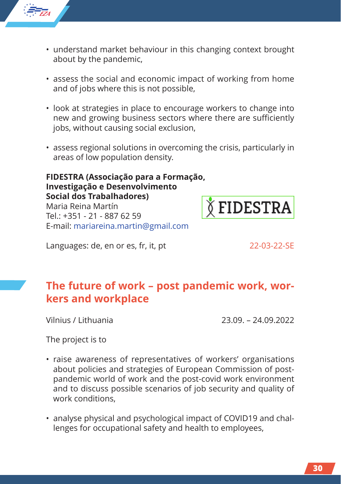

- understand market behaviour in this changing context brought about by the pandemic,
- assess the social and economic impact of working from home and of jobs where this is not possible,
- look at strategies in place to encourage workers to change into new and growing business sectors where there are sufficiently jobs, without causing social exclusion,
- assess regional solutions in overcoming the crisis, particularly in areas of low population density.

**FIDESTRA (Associação para a Formação, Investigação e Desenvolvimento Social dos Trabalhadores)** Maria Reina Martín  $Tel: +351 - 21 - 8876259$ E-mail: mariareina.martin@gmail.com



Languages: de, en or es, fr, it, pt 22-03-22-SE

# **The future of work – post pandemic work, workers and workplace**

Vilnius / Lithuania 23.09. – 24.09.2022

The project is to

- raise awareness of representatives of workers' organisations about policies and strategies of European Commission of postpandemic world of work and the post-covid work environment and to discuss possible scenarios of job security and quality of work conditions,
- analyse physical and psychological impact of COVID19 and challenges for occupational safety and health to employees,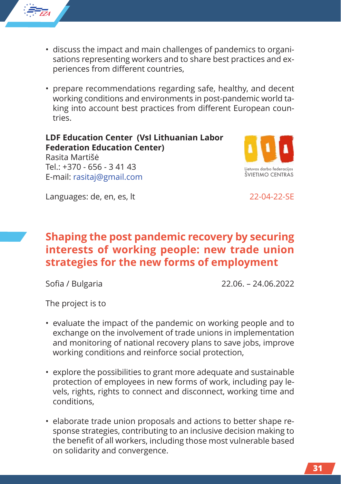

- discuss the impact and main challenges of pandemics to organisations representing workers and to share best practices and experiences from different countries,
- prepare recommendations regarding safe, healthy, and decent working conditions and environments in post-pandemic world taking into account best practices from different European countries.

**LDF Education Center (VsI Lithuanian Labor Federation Education Center)** Rasita Martišė  $Tel: +370 - 656 - 34143$ 



Languages: de, en, es, lt 22-04-22-SE

E-mail: rasitaj@gmail.com

# **Shaping the post pandemic recovery by securing interests of working people: new trade union strategies for the new forms of employment**

Sofia / Bulgaria 22.06. – 24.06.2022

The project is to

- evaluate the impact of the pandemic on working people and to exchange on the involvement of trade unions in implementation and monitoring of national recovery plans to save jobs, improve working conditions and reinforce social protection,
- explore the possibilities to grant more adequate and sustainable protection of employees in new forms of work, including pay levels, rights, rights to connect and disconnect, working time and conditions,
- elaborate trade union proposals and actions to better shape response strategies, contributing to an inclusive decision making to the benefit of all workers, including those most vulnerable based on solidarity and convergence.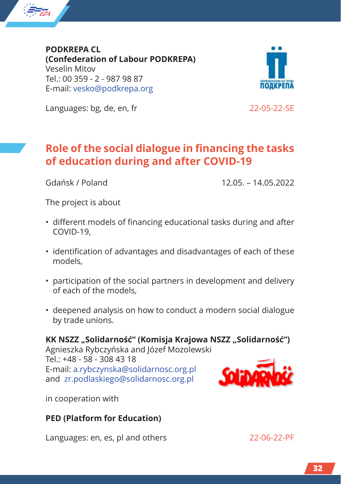

**PODKREPA CL (Confederation of Labour PODKREPA)** Veselin Mitov Tel.: 00 359 - 2 - 987 98 87 E-mail: vesko@podkrepa.org



Languages: bg, de, en, fr 22-05-22-SE

# **Role of the social dialogue in financing the tasks of education during and after COVID-19**

Gdańsk / Poland 12.05. – 14.05.2022

The project is about

- different models of financing educational tasks during and after COVID-19,
- identification of advantages and disadvantages of each of these models,
- participation of the social partners in development and delivery of each of the models,
- deepened analysis on how to conduct a modern social dialogue by trade unions.

**KK NSZZ "Solidarność" (Komisja Krajowa NSZZ "Solidarność")** Agnieszka Rybczyńska and Józef Mozolewski

 $Tel: +48 - 58 - 3084318$ E-mail: a.rybczynska@solidarnosc.org.pl and zr.podlaskiego@solidarnosc.org.pl



in cooperation with

#### **PED (Platform for Education)**

Languages: en, es, pl and others 22-06-22-PF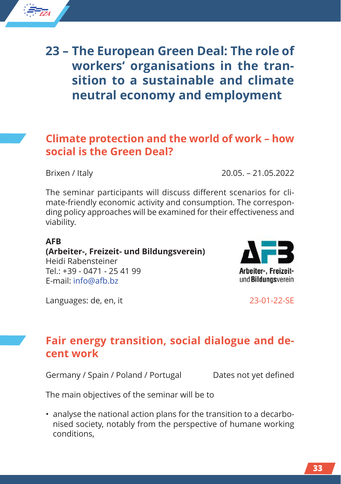

# **23 – The European Green Deal: The role of workers' organisations in the transition to a sustainable and climate neutral economy and employment**

# **Climate protection and the world of work – how social is the Green Deal?**

Brixen / Italy 20.05. – 21.05.2022

The seminar participants will discuss different scenarios for climate-friendly economic activity and consumption. The corresponding policy approaches will be examined for their effectiveness and viability.

#### **AFB**

**(Arbeiter-, Freizeit- und Bildungsverein)** Heidi Rabensteiner  $Tel: +39 - 0471 - 254199$ E-mail: info@afb.bz



Languages: de, en, it 23-01-22-SE

# **Fair energy transition, social dialogue and decent work**

Germany / Spain / Poland / Portugal Dates not yet defined

The main objectives of the seminar will be to

• analyse the national action plans for the transition to a decarbonised society, notably from the perspective of humane working conditions,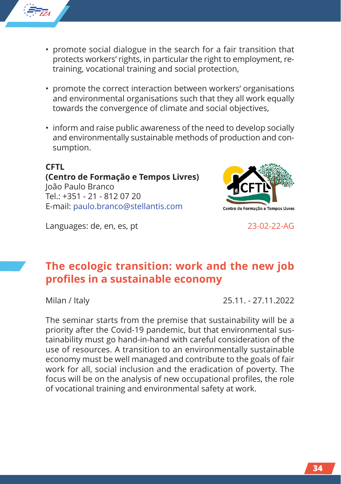

- promote social dialogue in the search for a fair transition that protects workers' rights, in particular the right to employment, retraining, vocational training and social protection,
- promote the correct interaction between workers' organisations and environmental organisations such that they all work equally towards the convergence of climate and social objectives,
- inform and raise public awareness of the need to develop socially and environmentally sustainable methods of production and consumption.

#### **CFTL (Centro de Formação e Tempos Livres)** João Paulo Branco Tel.: +351 - 21 - 812 07 20 E-mail: paulo.branco@stellantis.com

Languages: de, en, es, pt 23-02-22-AG



# **The ecologic transition: work and the new job profiles in a sustainable economy**

Milan / Italy 25.11. - 27.11.2022

The seminar starts from the premise that sustainability will be a priority after the Covid-19 pandemic, but that environmental sustainability must go hand-in-hand with careful consideration of the use of resources. A transition to an environmentally sustainable economy must be well managed and contribute to the goals of fair work for all, social inclusion and the eradication of poverty. The focus will be on the analysis of new occupational profiles, the role of vocational training and environmental safety at work.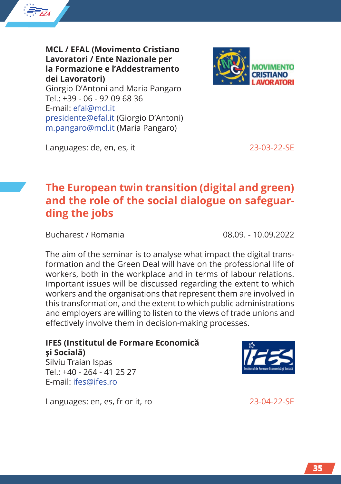

**MCL / EFAL (Movimento Cristiano Lavoratori / Ente Nazionale per la Formazione e l'Addestramento dei Lavoratori)** Giorgio D'Antoni and Maria Pangaro Tel.: +39 - 06 - 92 09 68 36 E-mail: efal@mcl.it presidente@efal.it (Giorgio D'Antoni) m.pangaro@mcl.it (Maria Pangaro)



Languages: de, en, es, it 23-03-22-SE

# **The European twin transition (digital and green) and the role of the social dialogue on safeguarding the jobs**

Bucharest / Romania 08.09. - 10.09.2022

The aim of the seminar is to analyse what impact the digital transformation and the Green Deal will have on the professional life of workers, both in the workplace and in terms of labour relations. Important issues will be discussed regarding the extent to which workers and the organisations that represent them are involved in this transformation, and the extent to which public administrations and employers are willing to listen to the views of trade unions and effectively involve them in decision-making processes.

#### **IFES (Institutul de Formare Economică şi Socială)** Silviu Traian Ispas

 $Tel: +40 - 264 - 41 25 27$ E-mail: ifes@ifes.ro

Languages: en, es, fr or it, ro 23-04-22-SE

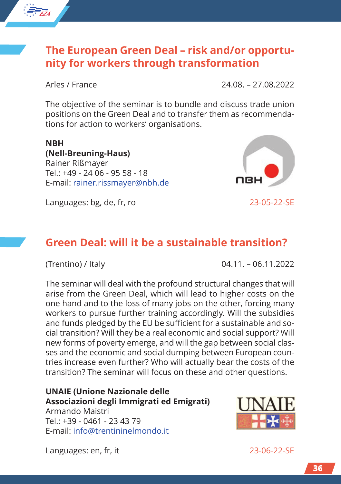

*EZA*

★ ★ ★ ★ ★ ★★ ★ ★ ★

Arles / France 24.08. – 27.08.2022

The objective of the seminar is to bundle and discuss trade union positions on the Green Deal and to transfer them as recommendations for action to workers' organisations.

**NBH (Nell-Breuning-Haus)** Rainer Rißmayer Tel.: +49 - 24 06 - 95 58 - 18 E-mail: rainer.rissmayer@nbh.de

Languages: bg, de, fr, ro 23-05-22-SE

# **Green Deal: will it be a sustainable transition?**

(Trentino) / Italy 04.11. – 06.11.2022

The seminar will deal with the profound structural changes that will arise from the Green Deal, which will lead to higher costs on the one hand and to the loss of many jobs on the other, forcing many workers to pursue further training accordingly. Will the subsidies and funds pledged by the EU be sufficient for a sustainable and social transition? Will they be a real economic and social support? Will new forms of poverty emerge, and will the gap between social classes and the economic and social dumping between European countries increase even further? Who will actually bear the costs of the transition? The seminar will focus on these and other questions.

#### **UNAIE (Unione Nazionale delle Associazioni degli Immigrati ed Emigrati)**

Armando Maistri Tel.: +39 - 0461 - 23 43 79 E-mail: info@trentininelmondo.it



Languages: en, fr, it 23-06-22-SE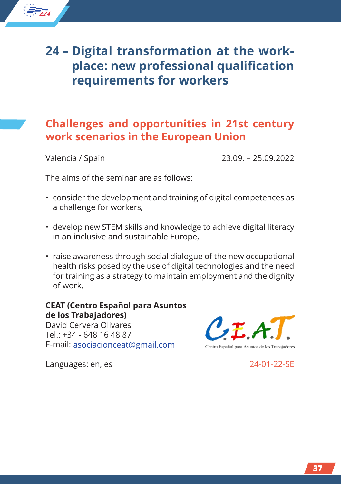

## **Challenges and opportunities in 21st century work scenarios in the European Union**

*EZA*

★ ★ ★ ★ ★ ★★ ★ ★ ★

Valencia / Spain 23.09. – 25.09.2022

The aims of the seminar are as follows:

- consider the development and training of digital competences as a challenge for workers,
- develop new STEM skills and knowledge to achieve digital literacy in an inclusive and sustainable Europe,
- raise awareness through social dialogue of the new occupational health risks posed by the use of digital technologies and the need for training as a strategy to maintain employment and the dignity of work.

#### **CEAT (Centro Español para Asuntos de los Trabajadores)**

David Cervera Olivares Tel.: +34 - 648 16 48 87 E-mail: asociacionceat@gmail.com Centro Español para Asuntos de los Trabajadores

Languages: en, es 24-01-22-SE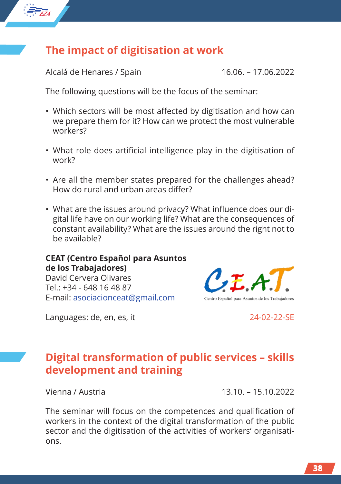

# **The impact of digitisation at work**

Alcalá de Henares / Spain 16.06. – 17.06.2022

The following questions will be the focus of the seminar:

- Which sectors will be most affected by digitisation and how can we prepare them for it? How can we protect the most vulnerable workers?
- What role does artificial intelligence play in the digitisation of work?
- Are all the member states prepared for the challenges ahead? How do rural and urban areas differ?
- What are the issues around privacy? What influence does our digital life have on our working life? What are the consequences of constant availability? What are the issues around the right not to be available?

#### **CEAT (Centro Español para Asuntos de los Trabajadores)**

David Cervera Olivares Tel.: +34 - 648 16 48 87 E-mail: asociacionceat@gmail.com



Languages: de, en, es, it 24-02-22-SE

# **Digital transformation of public services – skills development and training**

Vienna / Austria 13.10. – 15.10.2022

The seminar will focus on the competences and qualification of workers in the context of the digital transformation of the public sector and the digitisation of the activities of workers' organisations.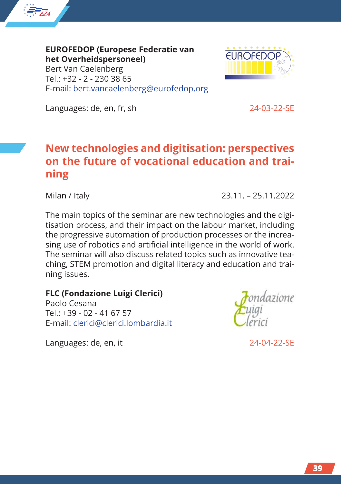

**EUROFEDOP (Europese Federatie van het Overheidspersoneel)** Bert Van Caelenberg  $Tel: +32 - 2 - 230, 3865$ E-mail: bert.vancaelenberg@eurofedop.org



Languages: de, en, fr, sh 24-03-22-SE

# **New technologies and digitisation: perspectives on the future of vocational education and training**

Milan / Italy 23.11. – 25.11.2022

The main topics of the seminar are new technologies and the digitisation process, and their impact on the labour market, including the progressive automation of production processes or the increasing use of robotics and artificial intelligence in the world of work. The seminar will also discuss related topics such as innovative teaching, STEM promotion and digital literacy and education and training issues.

#### **FLC (Fondazione Luigi Clerici)**

Paolo Cesana Tel.: +39 - 02 - 41 67 57 E-mail: clerici@clerici.lombardia.it



Languages: de, en, it 24-04-22-SE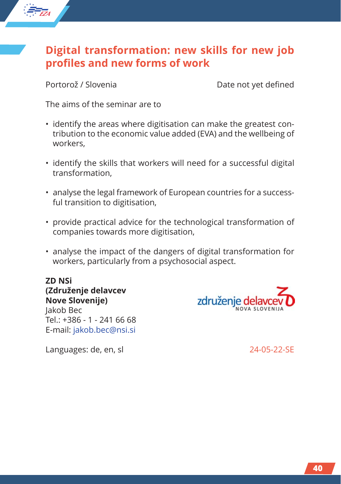# **Digital transformation: new skills for new job profiles and new forms of work**

*EZA*

★ ★ ★ ★ ★ ★★ ★ ★ ★

Portorož / Slovenia Date not yet defined

The aims of the seminar are to

- identify the areas where digitisation can make the greatest contribution to the economic value added (EVA) and the wellbeing of workers,
- identify the skills that workers will need for a successful digital transformation,
- analyse the legal framework of European countries for a successful transition to digitisation,
- provide practical advice for the technological transformation of companies towards more digitisation,
- analyse the impact of the dangers of digital transformation for workers, particularly from a psychosocial aspect.

**ZD NSi (Združenje delavcev Nove Slovenije)** Jakob Bec Tel.: +386 - 1 - 241 66 68 E-mail: jakob.bec@nsi.si



Languages: de, en, sl 24-05-22-SE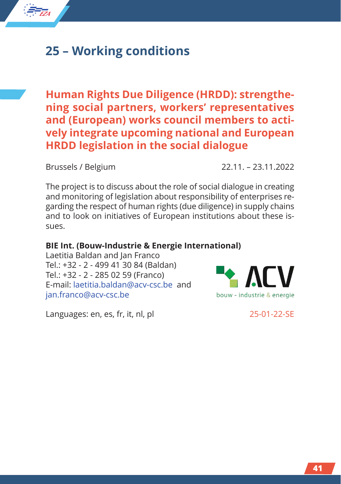

# **25 – Working conditions**

**Human Rights Due Diligence (HRDD): strengthening social partners, workers' representatives and (European) works council members to actively integrate upcoming national and European HRDD legislation in the social dialogue**

Brussels / Belgium 22.11. – 23.11.2022

The project is to discuss about the role of social dialogue in creating and monitoring of legislation about responsibility of enterprises regarding the respect of human rights (due diligence) in supply chains and to look on initiatives of European institutions about these issues.

#### **BIE Int. (Bouw-Industrie & Energie International)**

Laetitia Baldan and Jan Franco Tel.: +32 - 2 - 499 41 30 84 (Baldan) Tel.: +32 - 2 - 285 02 59 (Franco) E-mail: laetitia.baldan@acv-csc.be and jan.franco@acv-csc.be



Languages: en, es, fr, it, nl, pl 25-01-22-SE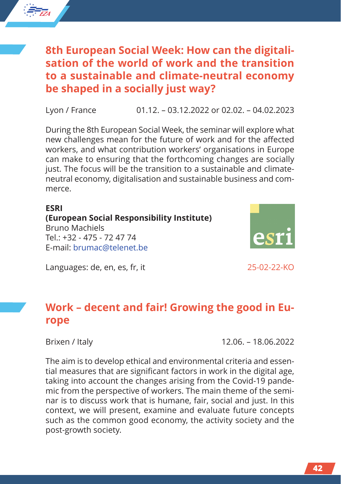

Lyon / France 01.12. – 03.12.2022 or 02.02. – 04.02.2023

During the 8th European Social Week, the seminar will explore what new challenges mean for the future of work and for the affected workers, and what contribution workers' organisations in Europe can make to ensuring that the forthcoming changes are socially just. The focus will be the transition to a sustainable and climateneutral economy, digitalisation and sustainable business and commerce.

#### **ESRI (European Social Responsibility Institute)** Bruno Machiels Tel.: +32 - 475 - 72 47 74 E-mail: brumac@telenet.be



Languages: de, en, es, fr, it 25-02-22-KO

# **Work – decent and fair! Growing the good in Europe**

*EZA*

★ ★ ★ ★ ★ ★★ ★ ★ ★

Brixen / Italy 12.06. – 18.06.2022

The aim is to develop ethical and environmental criteria and essential measures that are significant factors in work in the digital age, taking into account the changes arising from the Covid-19 pandemic from the perspective of workers. The main theme of the seminar is to discuss work that is humane, fair, social and just. In this context, we will present, examine and evaluate future concepts such as the common good economy, the activity society and the post-growth society.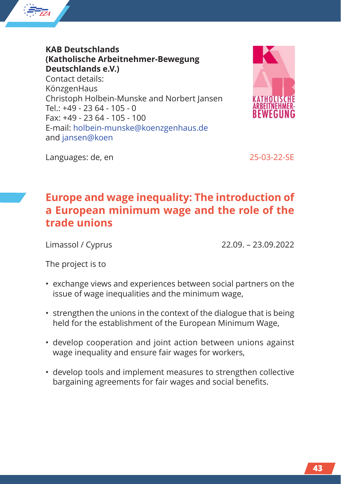

**KAB Deutschlands (Katholische Arbeitnehmer-Bewegung Deutschlands e.V.)** Contact details: KönzgenHaus Christoph Holbein-Munske and Norbert Jansen  $Tel: +49 - 2364 - 105 - 0$ Fax: +49 - 23 64 - 105 - 100 E-mail: holbein-munske@koenzgenhaus.de and jansen@koen



Languages: de, en 25-03-22-SE

# **Europe and wage inequality: The introduction of a European minimum wage and the role of the trade unions**

Limassol / Cyprus 22.09. – 23.09.2022

The project is to

- exchange views and experiences between social partners on the issue of wage inequalities and the minimum wage,
- strengthen the unions in the context of the dialogue that is being held for the establishment of the European Minimum Wage,
- develop cooperation and joint action between unions against wage inequality and ensure fair wages for workers,
- develop tools and implement measures to strengthen collective bargaining agreements for fair wages and social benefits.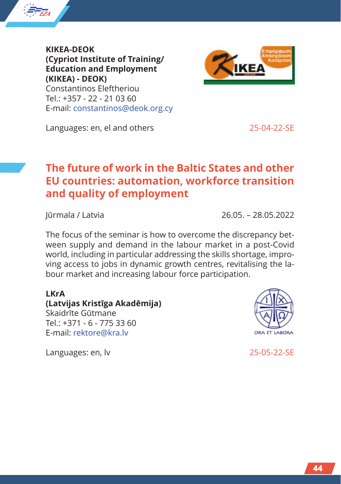

**KIKEA-DEOK (Cypriot Institute of Training/ Education and Employment (KIKEA) - DEOK)** Constantinos Eleftheriou Tel.: +357 - 22 - 21 03 60 E-mail: constantinos@deok.org.cy



Languages: en, el and others 25-04-22-SE

# **The future of work in the Baltic States and other EU countries: automation, workforce transition and quality of employment**

Jūrmala / Latvia 26.05. – 28.05.2022

The focus of the seminar is how to overcome the discrepancy between supply and demand in the labour market in a post-Covid world, including in particular addressing the skills shortage, improving access to jobs in dynamic growth centres, revitalising the labour market and increasing labour force participation.

#### **LKrA**

**(Latvijas Kristīga Akadēmija)** Skaidrīte Gūtmane Tel.: +371 - 6 - 775 33 60 E-mail: rektore@kra.lv

Languages: en, lv 25-05-22-SE

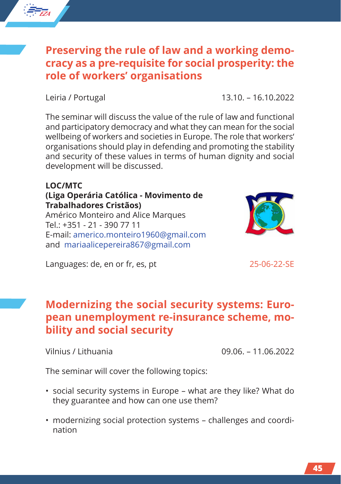## **Preserving the rule of law and a working democracy as a pre-requisite for social prosperity: the role of workers' organisations**

Leiria / Portugal 13.10. – 16.10.2022

*EZA*

★ ★ ★ ★ ★ ★★ ★ ★ ★

> The seminar will discuss the value of the rule of law and functional and participatory democracy and what they can mean for the social wellbeing of workers and societies in Europe. The role that workers' organisations should play in defending and promoting the stability and security of these values in terms of human dignity and social development will be discussed.

### **LOC/MTC (Liga Operária Católica - Movimento de Trabalhadores Cristãos)**

Américo Monteiro and Alice Marques Tel.: +351 - 21 - 390 77 11 E-mail: americo.monteiro1960@gmail.com and mariaalicepereira867@gmail.com

Languages: de, en or fr, es, pt 25-06-22-SE

# **Modernizing the social security systems: European unemployment re-insurance scheme, mobility and social security**

Vilnius / Lithuania 09.06. – 11.06.2022

The seminar will cover the following topics:

- social security systems in Europe what are they like? What do they guarantee and how can one use them?
- modernizing social protection systems challenges and coordination



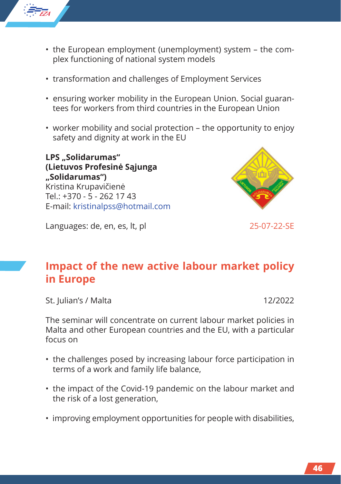

- the European employment (unemployment) system the complex functioning of national system models
- transformation and challenges of Employment Services
- ensuring worker mobility in the European Union. Social guarantees for workers from third countries in the European Union
- worker mobility and social protection the opportunity to enjoy safety and dignity at work in the EU

LPS ..Solidarumas" **(Lietuvos Profesinė Sąjunga "Solidarumas")** Kristina Krupavičienė  $Tel: +370 - 5 - 2621743$ E-mail: kristinalpss@hotmail.com



Languages: de, en, es, lt, pl 25-07-22-SE

# **Impact of the new active labour market policy in Europe**

St. Julian's / Malta 12/2022

The seminar will concentrate on current labour market policies in Malta and other European countries and the EU, with a particular focus on

- the challenges posed by increasing labour force participation in terms of a work and family life balance,
- the impact of the Covid-19 pandemic on the labour market and the risk of a lost generation,
- improving employment opportunities for people with disabilities,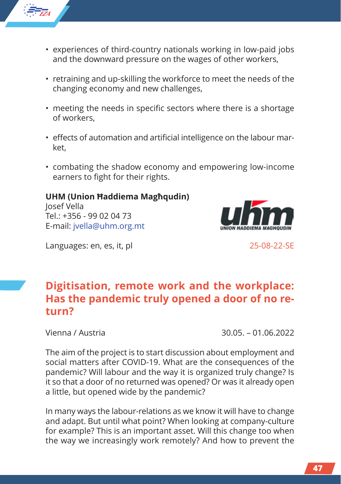

- experiences of third-country nationals working in low-paid jobs and the downward pressure on the wages of other workers,
- retraining and up-skilling the workforce to meet the needs of the changing economy and new challenges,
- meeting the needs in specific sectors where there is a shortage of workers,
- effects of automation and artificial intelligence on the labour market,
- combating the shadow economy and empowering low-income earners to fight for their rights.

#### **UHM (Union Ħaddiema Magħqudin)**

Josef Vella  $Tel: +356 - 99 02 04 73$ E-mail: jvella@uhm.org.mt



Languages: en, es, it, pl 25-08-22-SE

# **Digitisation, remote work and the workplace: Has the pandemic truly opened a door of no return?**

Vienna / Austria 30.05. – 01.06.2022

The aim of the project is to start discussion about employment and social matters after COVID-19. What are the consequences of the pandemic? Will labour and the way it is organized truly change? Is it so that a door of no returned was opened? Or was it already open a little, but opened wide by the pandemic?

In many ways the labour-relations as we know it will have to change and adapt. But until what point? When looking at company-culture for example? This is an important asset. Will this change too when the way we increasingly work remotely? And how to prevent the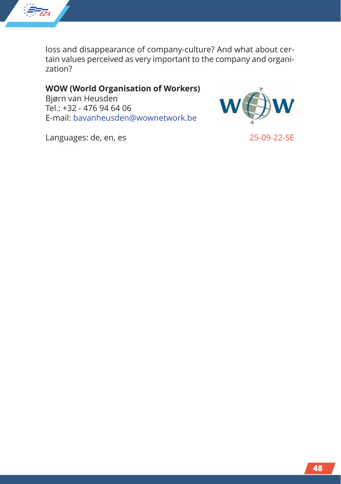

loss and disappearance of company-culture? And what about certain values perceived as very important to the company and organization?

**WOW (World Organisation of Workers)**

Bjørn van Heusden Tel.: +32 - 476 94 64 06 E-mail: bavanheusden@wownetwork.be



Languages: de, en, es 25-09-22-SE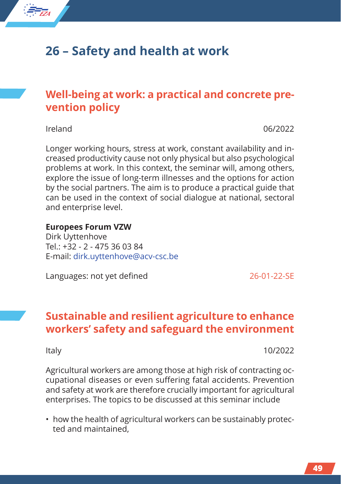

# **26 – Safety and health at work**

# **Well-being at work: a practical and concrete prevention policy**

Ireland 06/2022

Longer working hours, stress at work, constant availability and increased productivity cause not only physical but also psychological problems at work. In this context, the seminar will, among others, explore the issue of long-term illnesses and the options for action by the social partners. The aim is to produce a practical guide that can be used in the context of social dialogue at national, sectoral and enterprise level.

#### **Europees Forum VZW**

Dirk Uyttenhove  $Tel: +32 - 2 - 475360384$ E-mail: dirk.uyttenhove@acv-csc.be

Languages: not yet defined 26-01-22-SE

## **Sustainable and resilient agriculture to enhance workers' safety and safeguard the environment**

Italy 10/2022

Agricultural workers are among those at high risk of contracting occupational diseases or even suffering fatal accidents. Prevention and safety at work are therefore crucially important for agricultural enterprises. The topics to be discussed at this seminar include

• how the health of agricultural workers can be sustainably protected and maintained,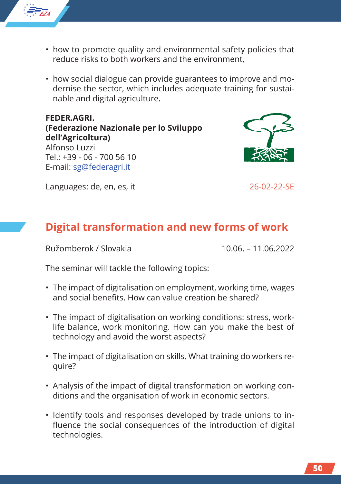

- how to promote quality and environmental safety policies that reduce risks to both workers and the environment,
- how social dialogue can provide guarantees to improve and modernise the sector, which includes adequate training for sustainable and digital agriculture.

**FEDER.AGRI. (Federazione Nazionale per lo Sviluppo dell'Agricoltura)** Alfonso Luzzi  $Tel: +39 - 06 - 70056$  10 E-mail: sg@federagri.it



Languages: de, en, es, it 26-02-22-SE

# **Digital transformation and new forms of work**

Ružomberok / Slovakia 10.06. – 11.06.2022

The seminar will tackle the following topics:

- The impact of digitalisation on employment, working time, wages and social benefits. How can value creation be shared?
- The impact of digitalisation on working conditions: stress, worklife balance, work monitoring. How can you make the best of technology and avoid the worst aspects?
- The impact of digitalisation on skills. What training do workers require?
- Analysis of the impact of digital transformation on working conditions and the organisation of work in economic sectors.
- Identify tools and responses developed by trade unions to influence the social consequences of the introduction of digital technologies.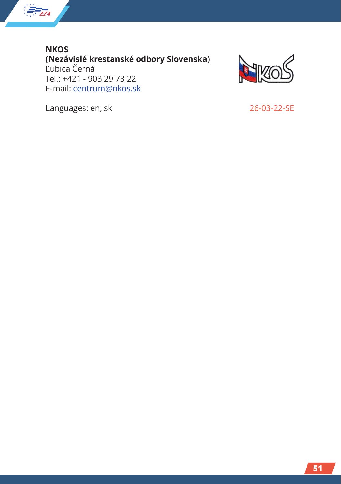

**NKOS (Nezávislé krestanské odbory Slovenska)** Ľubica Černá Tel.: +421 - 903 29 73 22 E-mail: centrum@nkos.sk



Languages: en, sk 26-03-22-SE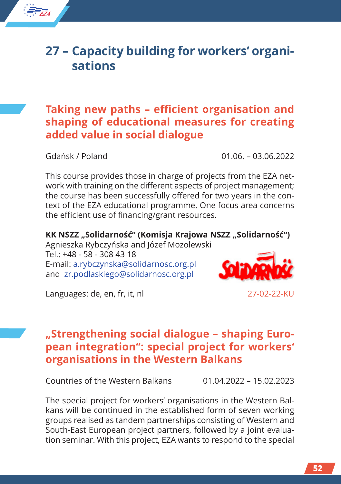# **27 – Capacity building for workers' organisations**

# **Taking new paths – efficient organisation and shaping of educational measures for creating added value in social dialogue**

*EZA*

★ ★ ★ ★ ★ ★★ ★ ★ ★

Gdańsk / Poland 01.06. – 03.06.2022

This course provides those in charge of projects from the EZA network with training on the different aspects of project management; the course has been successfully offered for two years in the context of the EZA educational programme. One focus area concerns the efficient use of financing/grant resources.

**KK NSZZ "Solidarność" (Komisja Krajowa NSZZ "Solidarność")** Agnieszka Rybczyńska and Józef Mozolewski Tel.: +48 - 58 - 308 43 18

E-mail: a.rybczynska@solidarnosc.org.pl and zr.podlaskiego@solidarnosc.org.pl



Languages: de, en, fr, it, nl 27-02-22-KU

# **"Strengthening social dialogue – shaping European integration": special project for workers' organisations in the Western Balkans**

Countries of the Western Balkans 01.04.2022 – 15.02.2023

The special project for workers' organisations in the Western Balkans will be continued in the established form of seven working groups realised as tandem partnerships consisting of Western and South-East European project partners, followed by a joint evaluation seminar. With this project, EZA wants to respond to the special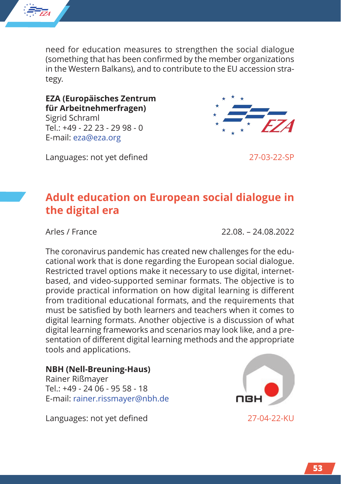

need for education measures to strengthen the social dialogue (something that has been confirmed by the member organizations in the Western Balkans), and to contribute to the EU accession strategy.

**EZA (Europäisches Zentrum für Arbeitnehmerfragen)** Sigrid Schraml Tel.: +49 - 22 23 - 29 98 - 0 E-mail: eza@eza.org

Languages: not yet defined 27-03-22-SP



# **Adult education on European social dialogue in the digital era**

Arles / France 22.08. – 24.08.2022

The coronavirus pandemic has created new challenges for the educational work that is done regarding the European social dialogue. Restricted travel options make it necessary to use digital, internetbased, and video-supported seminar formats. The objective is to provide practical information on how digital learning is different from traditional educational formats, and the requirements that must be satisfied by both learners and teachers when it comes to digital learning formats. Another objective is a discussion of what digital learning frameworks and scenarios may look like, and a presentation of different digital learning methods and the appropriate tools and applications.

#### **NBH (Nell-Breuning-Haus)**

Rainer Rißmayer Tel.: +49 - 24 06 - 95 58 - 18 E-mail: rainer.rissmayer@nbh.de

Languages: not yet defined 27-04-22-KU

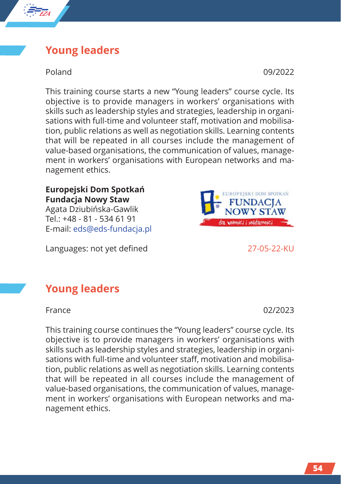## **Young leaders**

*EZA*

★ ★ ★ ★ ★ ★★ ★ ★ ★

Poland 09/2022

This training course starts a new "Young leaders" course cycle. Its objective is to provide managers in workers' organisations with skills such as leadership styles and strategies, leadership in organisations with full-time and volunteer staff, motivation and mobilisation, public relations as well as negotiation skills. Learning contents that will be repeated in all courses include the management of value-based organisations, the communication of values, management in workers' organisations with European networks and management ethics.

#### **Europejski Dom Spotkań Fundacja Nowy Staw** Agata Dziubińska-Gawlik  $Tel: +48 - 81 - 5346191$

Languages: not yet defined 27-05-22-KU

E-mail: eds@eds-fundacja.pl

# **Young leaders**

France 02/2023

This training course continues the "Young leaders" course cycle. Its objective is to provide managers in workers' organisations with skills such as leadership styles and strategies, leadership in organisations with full-time and volunteer staff, motivation and mobilisation, public relations as well as negotiation skills. Learning contents that will be repeated in all courses include the management of value-based organisations, the communication of values, management in workers' organisations with European networks and management ethics.

**UROPEISKI DOM SPOTKAN JNDACIA Y STAW** 

dia wolności i solidarności –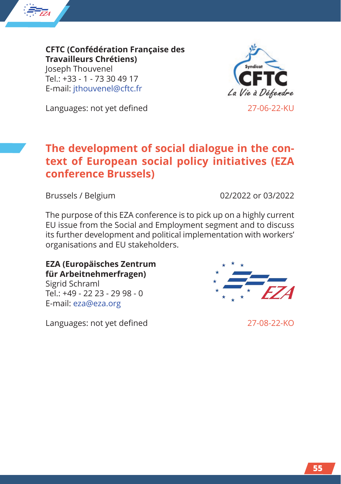

**CFTC (Confédération Française des Travailleurs Chrétiens)** Joseph Thouvenel Tel.: +33 - 1 - 73 30 49 17 E-mail: jthouvenel@cftc.fr



Languages: not yet defined 27-06-22-KU

# **The development of social dialogue in the context of European social policy initiatives (EZA conference Brussels)**

Brussels / Belgium 02/2022 or 03/2022

The purpose of this EZA conference is to pick up on a highly current EU issue from the Social and Employment segment and to discuss its further development and political implementation with workers' organisations and EU stakeholders.

#### **EZA (Europäisches Zentrum für Arbeitnehmerfragen)**

Sigrid Schraml  $Tel: +49 - 22 23 - 29 98 - 0$ E-mail: eza@eza.org

Languages: not yet defined 27-08-22-KO

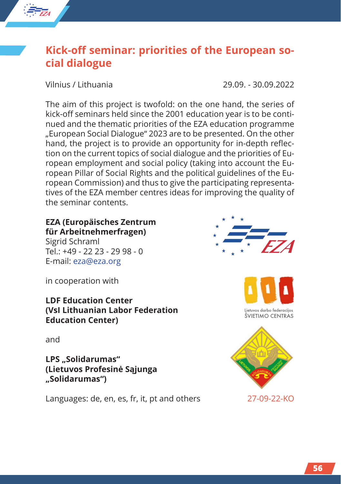

# **Kick-off seminar: priorities of the European social dialogue**

Vilnius / Lithuania 29.09. - 30.09.2022

The aim of this project is twofold: on the one hand, the series of kick-off seminars held since the 2001 education year is to be continued and the thematic priorities of the EZA education programme "European Social Dialogue" 2023 are to be presented. On the other hand, the project is to provide an opportunity for in-depth reflection on the current topics of social dialogue and the priorities of European employment and social policy (taking into account the European Pillar of Social Rights and the political guidelines of the European Commission) and thus to give the participating representatives of the EZA member centres ideas for improving the quality of the seminar contents.

#### **EZA (Europäisches Zentrum für Arbeitnehmerfragen)**

Sigrid Schraml Tel.: +49 - 22 23 - 29 98 - 0 E-mail: eza@eza.org

in cooperation with

**LDF Education Center (VsI Lithuanian Labor Federation Education Center)**

and

LPS ..Solidarumas" **(Lietuvos Profesinė Sąjunga "Solidarumas")**

Languages: de, en, es, fr, it, pt and others 27-09-22-KO





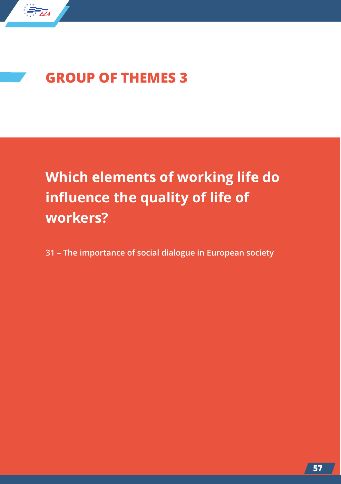

# **GROUP OF THEMES 3**

**Which elements of working life do influence the quality of life of workers?**

**31 – The importance of social dialogue in European society**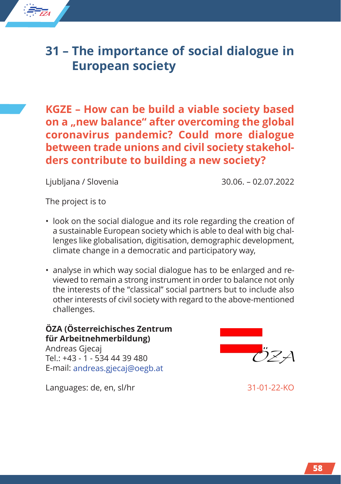# **31 – The importance of social dialogue in European society**

**KGZE – How can be build a viable society based** on a **..new balance**" after overcoming the global **coronavirus pandemic? Could more dialogue between trade unions and civil society stakeholders contribute to building a new society?**

Ljubljana / Slovenia 30.06. – 02.07.2022

The project is to

*EZA*

★ ★ ★ ★ ★ ★★ ★ ★ ★

- look on the social dialogue and its role regarding the creation of a sustainable European society which is able to deal with big challenges like globalisation, digitisation, demographic development, climate change in a democratic and participatory way,
- analyse in which way social dialogue has to be enlarged and reviewed to remain a strong instrument in order to balance not only the interests of the "classical" social partners but to include also other interests of civil society with regard to the above-mentioned challenges.

#### **ÖZA (Österreichisches Zentrum für Arbeitnehmerbildung)**

Andreas Gjecaj Tel.: +43 - 1 - 534 44 39 480 E-mail: andreas.gjecaj@oegb.at

Languages: de, en, sl/hr 31-01-22-KO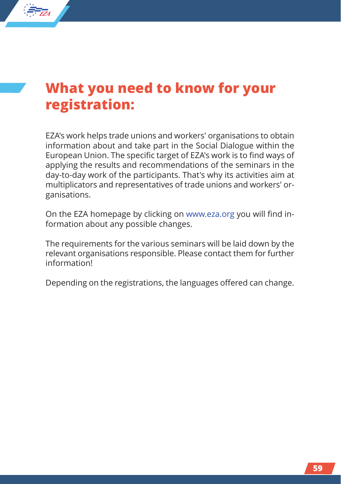

*EZA*

★ ★ ★ ★ ★ ★★ ★ ★ ★

# **What you need to know for your registration:**

EZA's work helps trade unions and workers' organisations to obtain information about and take part in the Social Dialogue within the European Union. The specific target of EZA's work is to find ways of applying the results and recommendations of the seminars in the day-to-day work of the participants. That's why its activities aim at multiplicators and representatives of trade unions and workers' organisations.

On the EZA homepage by clicking on www.eza.org you will find information about any possible changes.

The requirements for the various seminars will be laid down by the relevant organisations responsible. Please contact them for further information!

Depending on the registrations, the languages offered can change.